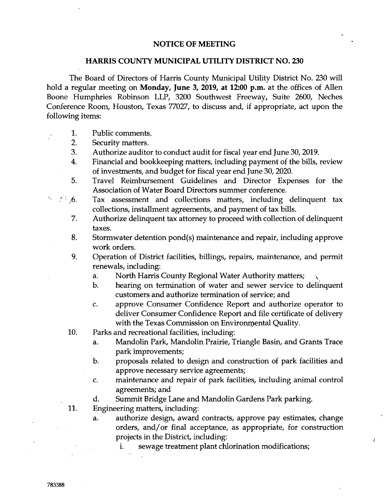## **NOTICE OF MEETING**

## **HARRIS COUNTY MUNICIPAL UTILITY DISTRICT NO. 230**

The Board of Directors of Harris County Municipal Utility District No. 230 will hold a regular meeting on **Monday, June 3, 2019, at 12:00 p.m.** at the offices of Allen Boone Humphries Robinson LLP, 3200 Southwest Freeway, Suite 2600, Neches Conference Room, Houston, Texas 77027, to discuss and, if appropriate, act upon the following items:

- 1. Public comments.
	- 2. Security matters.
	- 3. Authorize auditor to conduct audit for fiscal year end June 30, 2019.
	- 4. Financial and bookkeeping matters, including payment of the bills, review of investments, and budget for fiscal year end June 30, 2020.
	- 5. Travel Reimbursement Guidelines and Director Expenses for the Association of Water Board Directors summer conference.
- $\sim$   $\langle$   $\rangle$   $\rangle$  6. Tax assessment and collections matters, including delinquent tax collections, installment agreements, and payment of tax bills.
	- 7. Authorize delinquent tax attorney to proceed with collection of delinquent taxes.
	- 8. Stormwater detention pond(s) maintenance and repair, including approve work orders.
	- 9. Operation of District facilities, billings, repairs, maintenance, and permit renewals, including:
		- a. North Harris County Regional Water Authority matters;
		- b. hearing on termination of water and sewer service to delinquent customers and authorize termination of service; and
		- c. approve Consumer Confidence Report and authorize operator to deliver Consumer Confidence Report and file certificate of delivery with the Texas Commission on Environmental Quality.
	- 10. Parks and recreational facilities, including:
		- a. Mandolin Park, Mandolin Prairie, Triangle Basin, and Grants Trace park improvements;
		- b. proposals related to design and construction of park facilities and approve necessary service agreements;
		- c. maintenance and repair of park facilities, including animal control agreements; and
		- d. Summit Bridge Lane and Mandolin Gardens Park parking.
	- **11.**  Engineering matters, including:
		- a. authorize design, award contracts, approve pay estimates, change orders, and/or final acceptance, as appropriate, for construction projects in the District, including:

Å

i. sewage treatment plant chlorination modifications;